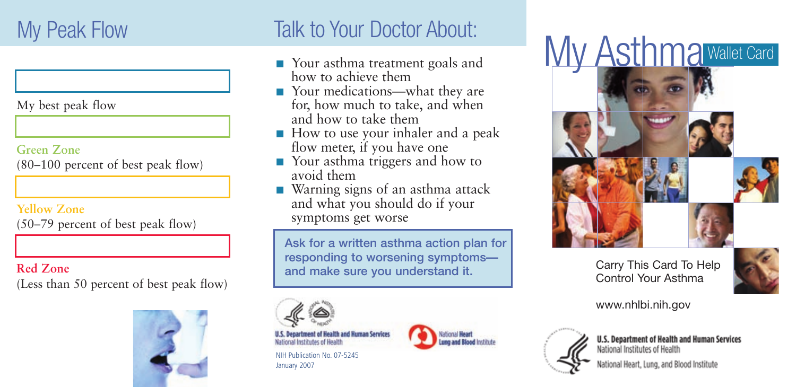My best peak flow

### **Green Zone** (80–100 percent of best peak flow)

### **Yellow Zone**

(50–79 percent of best peak flow)

# **Red Zone**

(Less than 50 percent of best peak flow)



# My Peak Flow Talk to Your Doctor About:

- Your asthma treatment goals and how to achieve them
- Your medications—what they are for, how much to take, and when and how to take them
- How to use your inhaler and a peak flow meter, if you have one
- Your asthma triggers and how to avoid them
- Warning signs of an asthma attack and what you should do if your symptoms get worse

Ask for a written asthma action plan for responding to worsening symptoms and make sure you understand it.



**Health and Human Services** 

NIH Publication No. 07-5245 January 2007



My Asthma Wallet Card



## Carry This Card To Help Control Your Asthma



www.nhlbi.nih.gov



**U.S. Department of Health and Human Services** National Institutes of Health

tional Heart, Lung, and Blood Institute